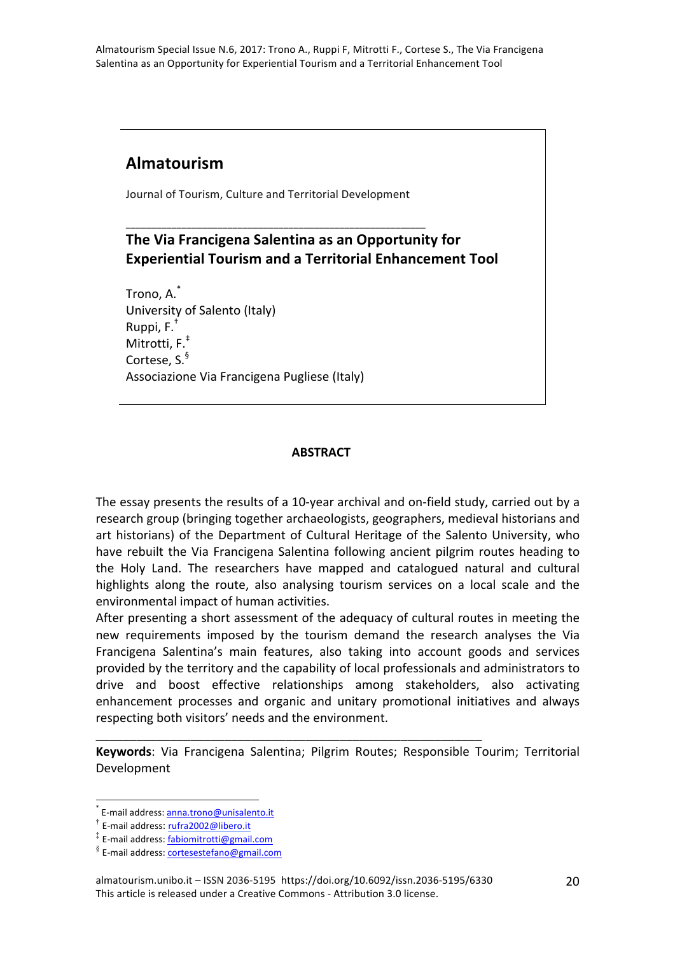# **Almatourism**

Journal of Tourism, Culture and Territorial Development

\_\_\_\_\_\_\_\_\_\_\_\_\_\_\_\_\_\_\_\_\_\_\_\_\_\_\_\_\_\_\_\_\_\_\_\_\_\_\_\_\_\_\_\_\_\_\_\_\_\_\_\_\_\_\_\_\_\_\_

## **The Via Francigena Salentina as an Opportunity for Experiential Tourism and a Territorial Enhancement Tool**

Trono, A. $^{\ast}$ University of Salento (Italy) Ruppi,  $F^T$ Mitrotti, F.<sup>‡</sup> Cortese, S.<sup>§</sup> Associazione Via Francigena Pugliese (Italy)

#### **ABSTRACT**

The essay presents the results of a 10-year archival and on-field study, carried out by a research group (bringing together archaeologists, geographers, medieval historians and art historians) of the Department of Cultural Heritage of the Salento University, who have rebuilt the Via Francigena Salentina following ancient pilgrim routes heading to the Holy Land. The researchers have mapped and catalogued natural and cultural highlights along the route, also analysing tourism services on a local scale and the environmental impact of human activities.

After presenting a short assessment of the adequacy of cultural routes in meeting the new requirements imposed by the tourism demand the research analyses the Via Francigena Salentina's main features, also taking into account goods and services provided by the territory and the capability of local professionals and administrators to drive and boost effective relationships among stakeholders, also activating enhancement processes and organic and unitary promotional initiatives and always respecting both visitors' needs and the environment.

Keywords: Via Francigena Salentina; Pilgrim Routes; Responsible Tourim; Territorial Development

\_\_\_\_\_\_\_\_\_\_\_\_\_\_\_\_\_\_\_\_\_\_\_\_\_\_\_\_\_\_\_\_\_\_\_\_\_\_\_\_\_\_\_\_\_\_\_\_\_\_\_\_\_\_\_\_\_

E-mail address: anna.trono@unisalento.it

 $\dagger$  E-mail address: rufra2002@libero.it

<sup>‡</sup> E-mail address: fabiomitrotti@gmail.com

 $\frac{8}{3}$  E-mail address: cortesestefano@gmail.com

almatourism.unibo.it – ISSN 2036-5195 https://doi.org/10.6092/issn.2036-5195/6330 This article is released under a Creative Commons - Attribution 3.0 license.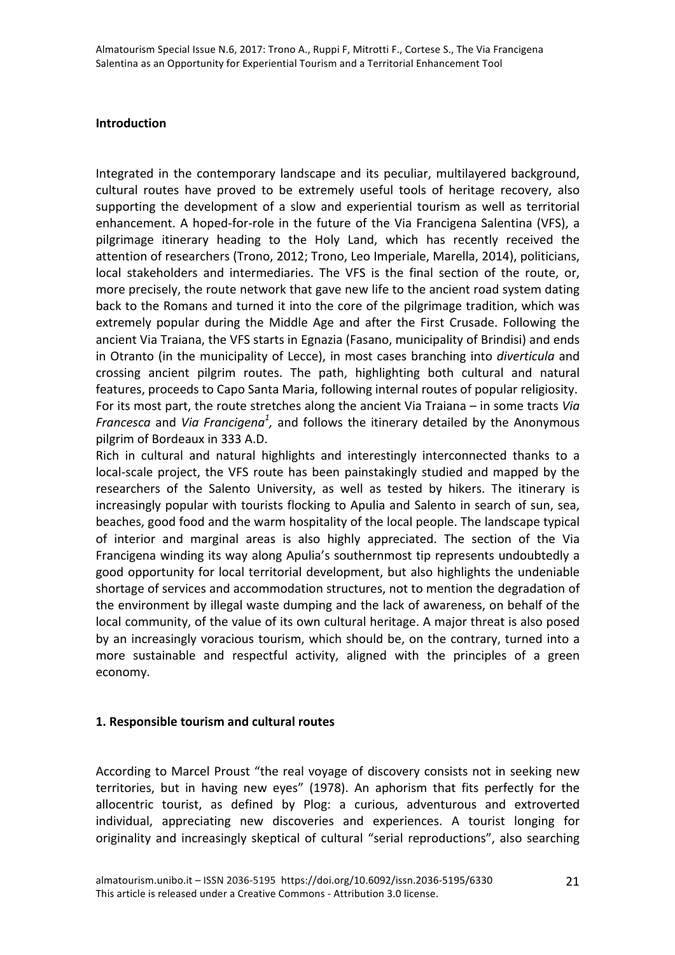#### **Introduction**

Integrated in the contemporary landscape and its peculiar, multilayered background, cultural routes have proved to be extremely useful tools of heritage recovery, also supporting the development of a slow and experiential tourism as well as territorial enhancement. A hoped-for-role in the future of the Via Francigena Salentina (VFS), a pilgrimage itinerary heading to the Holy Land, which has recently received the attention of researchers (Trono, 2012; Trono, Leo Imperiale, Marella, 2014), politicians, local stakeholders and intermediaries. The VFS is the final section of the route, or, more precisely, the route network that gave new life to the ancient road system dating back to the Romans and turned it into the core of the pilgrimage tradition, which was extremely popular during the Middle Age and after the First Crusade. Following the ancient Via Traiana, the VFS starts in Egnazia (Fasano, municipality of Brindisi) and ends in Otranto (in the municipality of Lecce), in most cases branching into *diverticula* and crossing ancient pilgrim routes. The path, highlighting both cultural and natural features, proceeds to Capo Santa Maria, following internal routes of popular religiosity. For its most part, the route stretches along the ancient Via Traiana – in some tracts *Via Francesca* and *Via Francigena<sup>1</sup>*, and follows the itinerary detailed by the Anonymous pilgrim of Bordeaux in 333 A.D.

Rich in cultural and natural highlights and interestingly interconnected thanks to a local-scale project, the VFS route has been painstakingly studied and mapped by the researchers of the Salento University, as well as tested by hikers. The itinerary is increasingly popular with tourists flocking to Apulia and Salento in search of sun, sea, beaches, good food and the warm hospitality of the local people. The landscape typical of interior and marginal areas is also highly appreciated. The section of the Via Francigena winding its way along Apulia's southernmost tip represents undoubtedly a good opportunity for local territorial development, but also highlights the undeniable shortage of services and accommodation structures, not to mention the degradation of the environment by illegal waste dumping and the lack of awareness, on behalf of the local community, of the value of its own cultural heritage. A major threat is also posed by an increasingly voracious tourism, which should be, on the contrary, turned into a more sustainable and respectful activity, aligned with the principles of a green economy.

#### **1. Responsible tourism and cultural routes**

According to Marcel Proust "the real voyage of discovery consists not in seeking new territories, but in having new eyes" (1978). An aphorism that fits perfectly for the allocentric tourist, as defined by Plog: a curious, adventurous and extroverted individual, appreciating new discoveries and experiences. A tourist longing for originality and increasingly skeptical of cultural "serial reproductions", also searching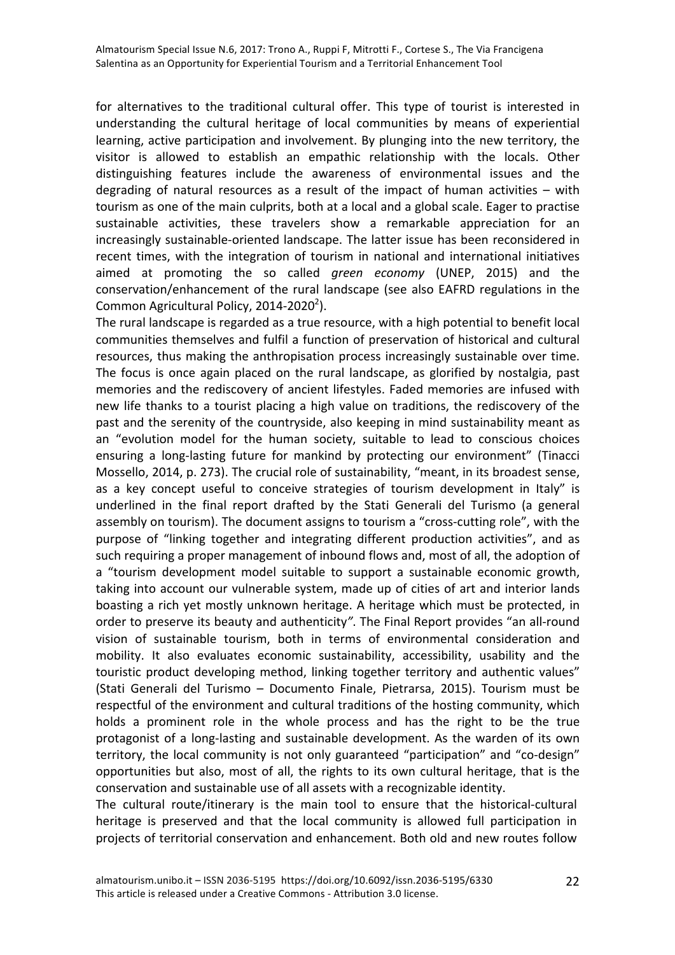for alternatives to the traditional cultural offer. This type of tourist is interested in understanding the cultural heritage of local communities by means of experiential learning, active participation and involvement. By plunging into the new territory, the visitor is allowed to establish an empathic relationship with the locals. Other distinguishing features include the awareness of environmental issues and the degrading of natural resources as a result of the impact of human activities  $-$  with tourism as one of the main culprits, both at a local and a global scale. Eager to practise sustainable activities, these travelers show a remarkable appreciation for an increasingly sustainable-oriented landscape. The latter issue has been reconsidered in recent times, with the integration of tourism in national and international initiatives aimed at promoting the so called *green economy* (UNEP, 2015) and the conservation/enhancement of the rural landscape (see also EAFRD regulations in the Common Agricultural Policy, 2014-2020<sup>2</sup>).

The rural landscape is regarded as a true resource, with a high potential to benefit local communities themselves and fulfil a function of preservation of historical and cultural resources, thus making the anthropisation process increasingly sustainable over time. The focus is once again placed on the rural landscape, as glorified by nostalgia, past memories and the rediscovery of ancient lifestyles. Faded memories are infused with new life thanks to a tourist placing a high value on traditions, the rediscovery of the past and the serenity of the countryside, also keeping in mind sustainability meant as an "evolution model for the human society, suitable to lead to conscious choices ensuring a long-lasting future for mankind by protecting our environment" (Tinacci Mossello, 2014, p. 273). The crucial role of sustainability, "meant, in its broadest sense, as a key concept useful to conceive strategies of tourism development in Italy" is underlined in the final report drafted by the Stati Generali del Turismo (a general assembly on tourism). The document assigns to tourism a "cross-cutting role", with the purpose of "linking together and integrating different production activities", and as such requiring a proper management of inbound flows and, most of all, the adoption of a "tourism development model suitable to support a sustainable economic growth, taking into account our vulnerable system, made up of cities of art and interior lands boasting a rich yet mostly unknown heritage. A heritage which must be protected, in order to preserve its beauty and authenticity". The Final Report provides "an all-round vision of sustainable tourism, both in terms of environmental consideration and mobility. It also evaluates economic sustainability, accessibility, usability and the touristic product developing method, linking together territory and authentic values" (Stati Generali del Turismo – Documento Finale, Pietrarsa, 2015). Tourism must be respectful of the environment and cultural traditions of the hosting community, which holds a prominent role in the whole process and has the right to be the true protagonist of a long-lasting and sustainable development. As the warden of its own territory, the local community is not only guaranteed "participation" and "co-design" opportunities but also, most of all, the rights to its own cultural heritage, that is the conservation and sustainable use of all assets with a recognizable identity.

The cultural route/itinerary is the main tool to ensure that the historical-cultural heritage is preserved and that the local community is allowed full participation in projects of territorial conservation and enhancement. Both old and new routes follow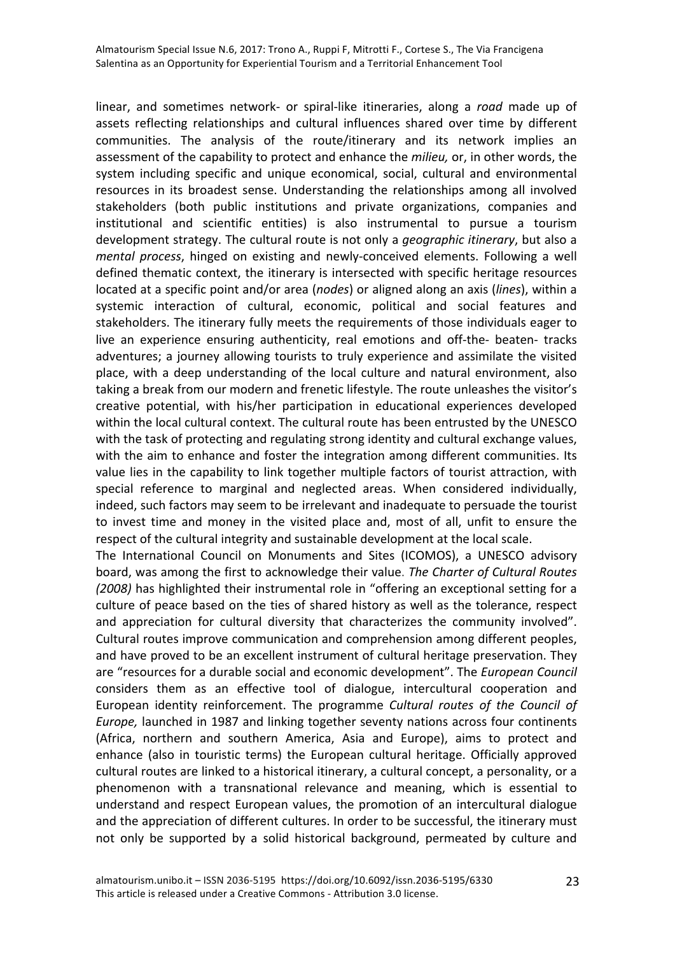linear, and sometimes network- or spiral-like itineraries, along a *road* made up of assets reflecting relationships and cultural influences shared over time by different communities. The analysis of the route/itinerary and its network implies an assessment of the capability to protect and enhance the *milieu*, or, in other words, the system including specific and unique economical, social, cultural and environmental resources in its broadest sense. Understanding the relationships among all involved stakeholders (both public institutions and private organizations, companies and institutional and scientific entities) is also instrumental to pursue a tourism development strategy. The cultural route is not only a *geographic itinerary*, but also a *mental process*, hinged on existing and newly-conceived elements. Following a well defined thematic context, the itinerary is intersected with specific heritage resources located at a specific point and/or area (*nodes*) or aligned along an axis (*lines*), within a systemic interaction of cultural, economic, political and social features and stakeholders. The itinerary fully meets the requirements of those individuals eager to live an experience ensuring authenticity, real emotions and off-the- beaten- tracks adventures; a journey allowing tourists to truly experience and assimilate the visited place, with a deep understanding of the local culture and natural environment, also taking a break from our modern and frenetic lifestyle. The route unleashes the visitor's creative potential, with his/her participation in educational experiences developed within the local cultural context. The cultural route has been entrusted by the UNESCO with the task of protecting and regulating strong identity and cultural exchange values, with the aim to enhance and foster the integration among different communities. Its value lies in the capability to link together multiple factors of tourist attraction, with special reference to marginal and neglected areas. When considered individually, indeed, such factors may seem to be irrelevant and inadequate to persuade the tourist to invest time and money in the visited place and, most of all, unfit to ensure the respect of the cultural integrity and sustainable development at the local scale.

The International Council on Monuments and Sites (ICOMOS), a UNESCO advisory board, was among the first to acknowledge their value. The Charter of Cultural Routes *(2008)* has highlighted their instrumental role in "offering an exceptional setting for a culture of peace based on the ties of shared history as well as the tolerance, respect and appreciation for cultural diversity that characterizes the community involved". Cultural routes improve communication and comprehension among different peoples, and have proved to be an excellent instrument of cultural heritage preservation. They are "resources for a durable social and economic development". The *European Council* considers them as an effective tool of dialogue, intercultural cooperation and European identity reinforcement. The programme *Cultural routes* of the *Council of Europe*, launched in 1987 and linking together seventy nations across four continents (Africa, northern and southern America, Asia and Europe), aims to protect and enhance (also in touristic terms) the European cultural heritage. Officially approved cultural routes are linked to a historical itinerary, a cultural concept, a personality, or a phenomenon with a transnational relevance and meaning, which is essential to understand and respect European values, the promotion of an intercultural dialogue and the appreciation of different cultures. In order to be successful, the itinerary must not only be supported by a solid historical background, permeated by culture and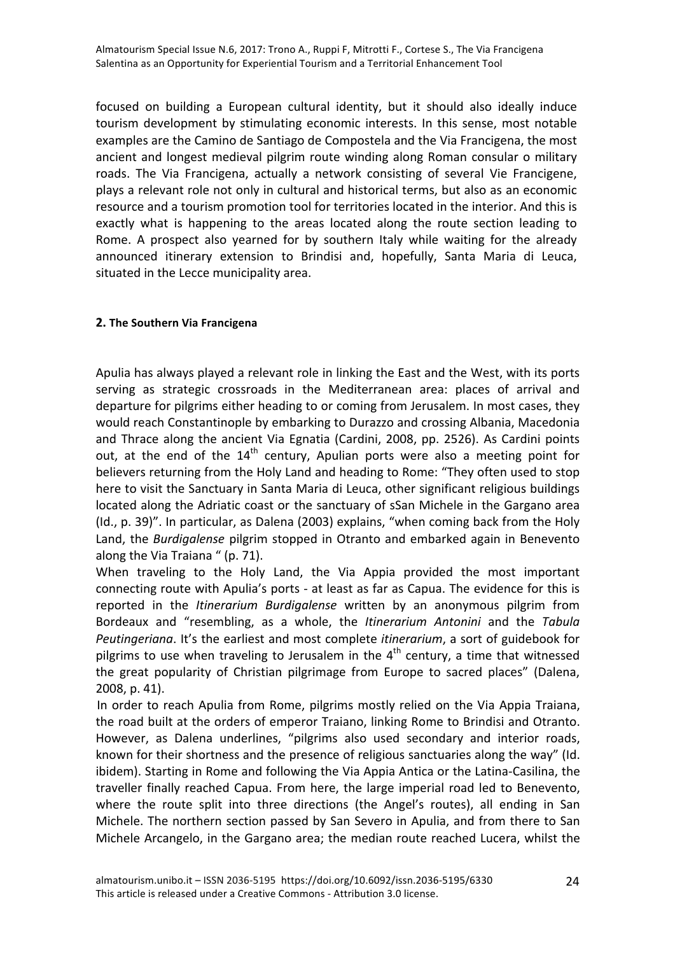focused on building a European cultural identity, but it should also ideally induce tourism development by stimulating economic interests. In this sense, most notable examples are the Camino de Santiago de Compostela and the Via Francigena, the most ancient and longest medieval pilgrim route winding along Roman consular o military roads. The Via Francigena, actually a network consisting of several Vie Francigene, plays a relevant role not only in cultural and historical terms, but also as an economic resource and a tourism promotion tool for territories located in the interior. And this is exactly what is happening to the areas located along the route section leading to Rome. A prospect also yearned for by southern Italy while waiting for the already announced itinerary extension to Brindisi and, hopefully, Santa Maria di Leuca, situated in the Lecce municipality area.

#### **2.** The Southern Via Francigena

Apulia has always played a relevant role in linking the East and the West, with its ports serving as strategic crossroads in the Mediterranean area: places of arrival and departure for pilgrims either heading to or coming from Jerusalem. In most cases, they would reach Constantinople by embarking to Durazzo and crossing Albania, Macedonia and Thrace along the ancient Via Egnatia (Cardini, 2008, pp. 2526). As Cardini points out, at the end of the  $14<sup>th</sup>$  century, Apulian ports were also a meeting point for believers returning from the Holy Land and heading to Rome: "They often used to stop here to visit the Sanctuary in Santa Maria di Leuca, other significant religious buildings located along the Adriatic coast or the sanctuary of sSan Michele in the Gargano area (Id., p. 39)". In particular, as Dalena (2003) explains, "when coming back from the Holy Land, the *Burdigalense* pilgrim stopped in Otranto and embarked again in Benevento along the Via Traiana " (p. 71).

When traveling to the Holy Land, the Via Appia provided the most important connecting route with Apulia's ports - at least as far as Capua. The evidence for this is reported in the *Itinerarium Burdigalense* written by an anonymous pilgrim from Bordeaux and "resembling, as a whole, the *Itinerarium Antonini* and the Tabula *Peutingeriana*. It's the earliest and most complete *itinerarium*, a sort of guidebook for pilgrims to use when traveling to Jerusalem in the  $4<sup>th</sup>$  century, a time that witnessed the great popularity of Christian pilgrimage from Europe to sacred places" (Dalena, 2008, p. 41).

In order to reach Apulia from Rome, pilgrims mostly relied on the Via Appia Traiana, the road built at the orders of emperor Traiano, linking Rome to Brindisi and Otranto. However, as Dalena underlines, "pilgrims also used secondary and interior roads, known for their shortness and the presence of religious sanctuaries along the way" (Id. ibidem). Starting in Rome and following the Via Appia Antica or the Latina-Casilina, the traveller finally reached Capua. From here, the large imperial road led to Benevento, where the route split into three directions (the Angel's routes), all ending in San Michele. The northern section passed by San Severo in Apulia, and from there to San Michele Arcangelo, in the Gargano area; the median route reached Lucera, whilst the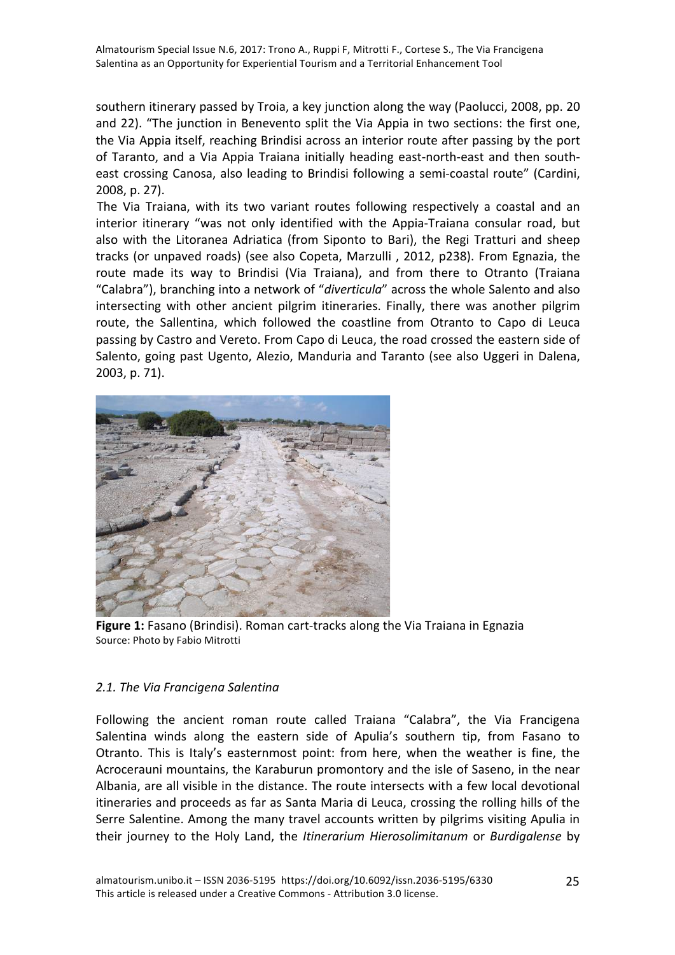southern itinerary passed by Troia, a key junction along the way (Paolucci, 2008, pp. 20 and 22). "The junction in Benevento split the Via Appia in two sections: the first one, the Via Appia itself, reaching Brindisi across an interior route after passing by the port of Taranto, and a Via Appia Traiana initially heading east-north-east and then southeast crossing Canosa, also leading to Brindisi following a semi-coastal route" (Cardini, 2008, p. 27).

The Via Traiana, with its two variant routes following respectively a coastal and an interior itinerary "was not only identified with the Appia-Traiana consular road, but also with the Litoranea Adriatica (from Siponto to Bari), the Regi Tratturi and sheep tracks (or unpaved roads) (see also Copeta, Marzulli, 2012, p238). From Egnazia, the route made its way to Brindisi (Via Traiana), and from there to Otranto (Traiana "Calabra"), branching into a network of "diverticula" across the whole Salento and also intersecting with other ancient pilgrim itineraries. Finally, there was another pilgrim route, the Sallentina, which followed the coastline from Otranto to Capo di Leuca passing by Castro and Vereto. From Capo di Leuca, the road crossed the eastern side of Salento, going past Ugento, Alezio, Manduria and Taranto (see also Uggeri in Dalena, 2003, p. 71).



**Figure 1:** Fasano (Brindisi). Roman cart-tracks along the Via Traiana in Egnazia Source: Photo by Fabio Mitrotti

## *2.1. The Via Francigena Salentina*

Following the ancient roman route called Traiana "Calabra", the Via Francigena Salentina winds along the eastern side of Apulia's southern tip, from Fasano to Otranto. This is Italy's easternmost point: from here, when the weather is fine, the Acrocerauni mountains, the Karaburun promontory and the isle of Saseno, in the near Albania, are all visible in the distance. The route intersects with a few local devotional itineraries and proceeds as far as Santa Maria di Leuca, crossing the rolling hills of the Serre Salentine. Among the many travel accounts written by pilgrims visiting Apulia in their journey to the Holy Land, the *Itinerarium Hierosolimitanum* or *Burdigalense* by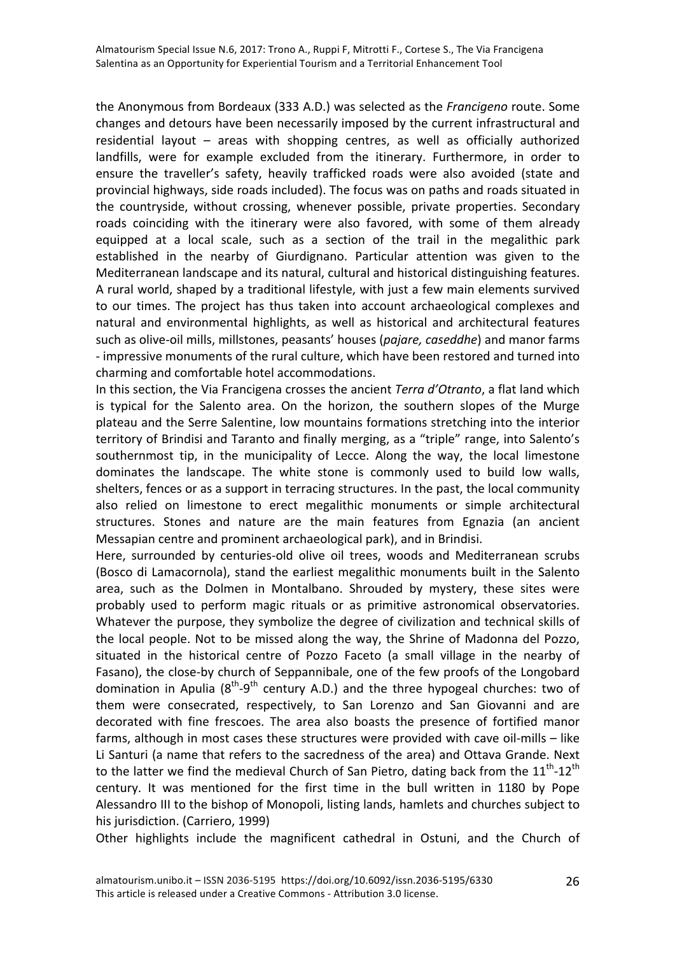the Anonymous from Bordeaux (333 A.D.) was selected as the *Francigeno* route. Some changes and detours have been necessarily imposed by the current infrastructural and residential layout  $-$  areas with shopping centres, as well as officially authorized landfills, were for example excluded from the itinerary. Furthermore, in order to ensure the traveller's safety, heavily trafficked roads were also avoided (state and provincial highways, side roads included). The focus was on paths and roads situated in the countryside, without crossing, whenever possible, private properties. Secondary roads coinciding with the itinerary were also favored, with some of them already equipped at a local scale, such as a section of the trail in the megalithic park established in the nearby of Giurdignano. Particular attention was given to the Mediterranean landscape and its natural, cultural and historical distinguishing features. A rural world, shaped by a traditional lifestyle, with just a few main elements survived to our times. The project has thus taken into account archaeological complexes and natural and environmental highlights, as well as historical and architectural features such as olive-oil mills, millstones, peasants' houses (*pajare, caseddhe*) and manor farms - impressive monuments of the rural culture, which have been restored and turned into charming and comfortable hotel accommodations.

In this section, the Via Francigena crosses the ancient *Terra d'Otranto*, a flat land which is typical for the Salento area. On the horizon, the southern slopes of the Murge plateau and the Serre Salentine, low mountains formations stretching into the interior territory of Brindisi and Taranto and finally merging, as a "triple" range, into Salento's southernmost tip, in the municipality of Lecce. Along the way, the local limestone dominates the landscape. The white stone is commonly used to build low walls, shelters, fences or as a support in terracing structures. In the past, the local community also relied on limestone to erect megalithic monuments or simple architectural structures. Stones and nature are the main features from Egnazia (an ancient Messapian centre and prominent archaeological park), and in Brindisi.

Here, surrounded by centuries-old olive oil trees, woods and Mediterranean scrubs (Bosco di Lamacornola), stand the earliest megalithic monuments built in the Salento area, such as the Dolmen in Montalbano. Shrouded by mystery, these sites were probably used to perform magic rituals or as primitive astronomical observatories. Whatever the purpose, they symbolize the degree of civilization and technical skills of the local people. Not to be missed along the way, the Shrine of Madonna del Pozzo, situated in the historical centre of Pozzo Faceto (a small village in the nearby of Fasano), the close-by church of Seppannibale, one of the few proofs of the Longobard domination in Apulia  $(8^{th}-9^{th})$  century A.D.) and the three hypogeal churches: two of them were consecrated, respectively, to San Lorenzo and San Giovanni and are decorated with fine frescoes. The area also boasts the presence of fortified manor farms, although in most cases these structures were provided with cave oil-mills – like Li Santuri (a name that refers to the sacredness of the area) and Ottava Grande. Next to the latter we find the medieval Church of San Pietro, dating back from the  $11<sup>th</sup>$ -12<sup>th</sup> century. It was mentioned for the first time in the bull written in 1180 by Pope Alessandro III to the bishop of Monopoli, listing lands, hamlets and churches subject to his jurisdiction. (Carriero, 1999)

Other highlights include the magnificent cathedral in Ostuni, and the Church of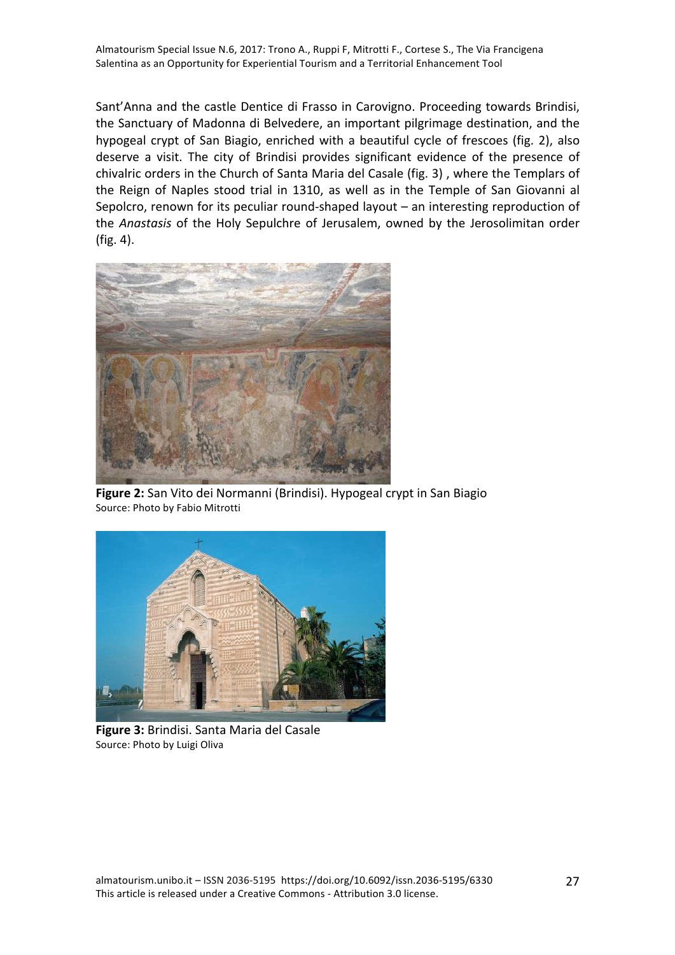Sant'Anna and the castle Dentice di Frasso in Carovigno. Proceeding towards Brindisi, the Sanctuary of Madonna di Belvedere, an important pilgrimage destination, and the hypogeal crypt of San Biagio, enriched with a beautiful cycle of frescoes (fig. 2), also deserve a visit. The city of Brindisi provides significant evidence of the presence of chivalric orders in the Church of Santa Maria del Casale (fig. 3), where the Templars of the Reign of Naples stood trial in 1310, as well as in the Temple of San Giovanni al Sepolcro, renown for its peculiar round-shaped layout  $-$  an interesting reproduction of the *Anastasis* of the Holy Sepulchre of Jerusalem, owned by the Jerosolimitan order (fig. 4).



**Figure 2:** San Vito dei Normanni (Brindisi). Hypogeal crypt in San Biagio Source: Photo by Fabio Mitrotti



**Figure 3:** Brindisi. Santa Maria del Casale Source: Photo by Luigi Oliva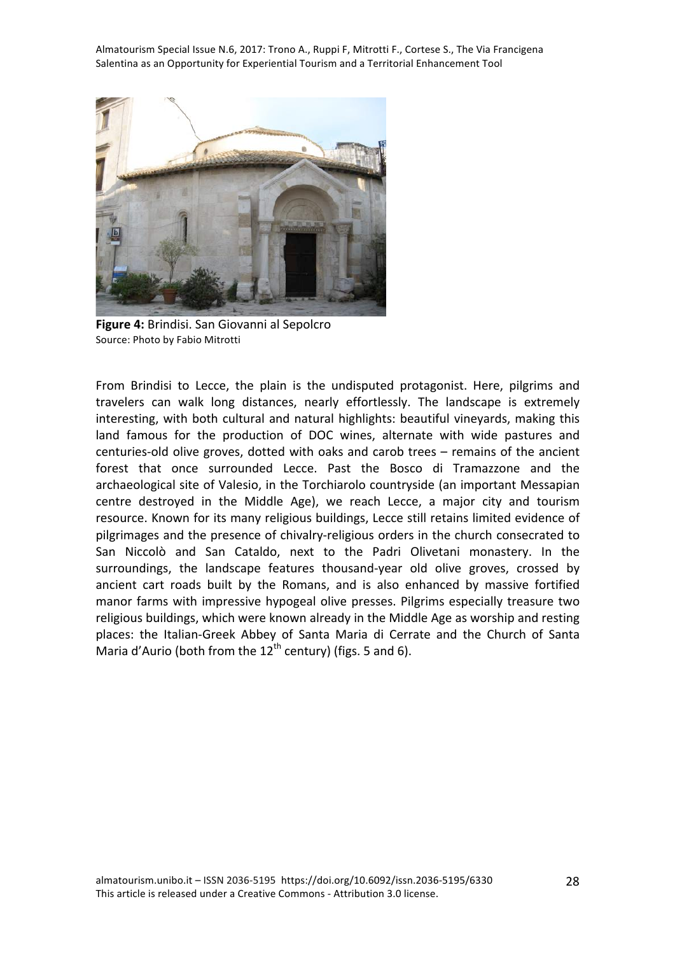

**Figure 4:** Brindisi. San Giovanni al Sepolcro Source: Photo by Fabio Mitrotti

From Brindisi to Lecce, the plain is the undisputed protagonist. Here, pilgrims and travelers can walk long distances, nearly effortlessly. The landscape is extremely interesting, with both cultural and natural highlights: beautiful vineyards, making this land famous for the production of DOC wines, alternate with wide pastures and centuries-old olive groves, dotted with oaks and carob trees  $-$  remains of the ancient forest that once surrounded Lecce. Past the Bosco di Tramazzone and the archaeological site of Valesio, in the Torchiarolo countryside (an important Messapian centre destroyed in the Middle Age), we reach Lecce, a major city and tourism resource. Known for its many religious buildings, Lecce still retains limited evidence of pilgrimages and the presence of chivalry-religious orders in the church consecrated to San Niccolò and San Cataldo, next to the Padri Olivetani monastery. In the surroundings, the landscape features thousand-year old olive groves, crossed by ancient cart roads built by the Romans, and is also enhanced by massive fortified manor farms with impressive hypogeal olive presses. Pilgrims especially treasure two religious buildings, which were known already in the Middle Age as worship and resting places: the Italian-Greek Abbey of Santa Maria di Cerrate and the Church of Santa Maria d'Aurio (both from the  $12<sup>th</sup>$  century) (figs. 5 and 6).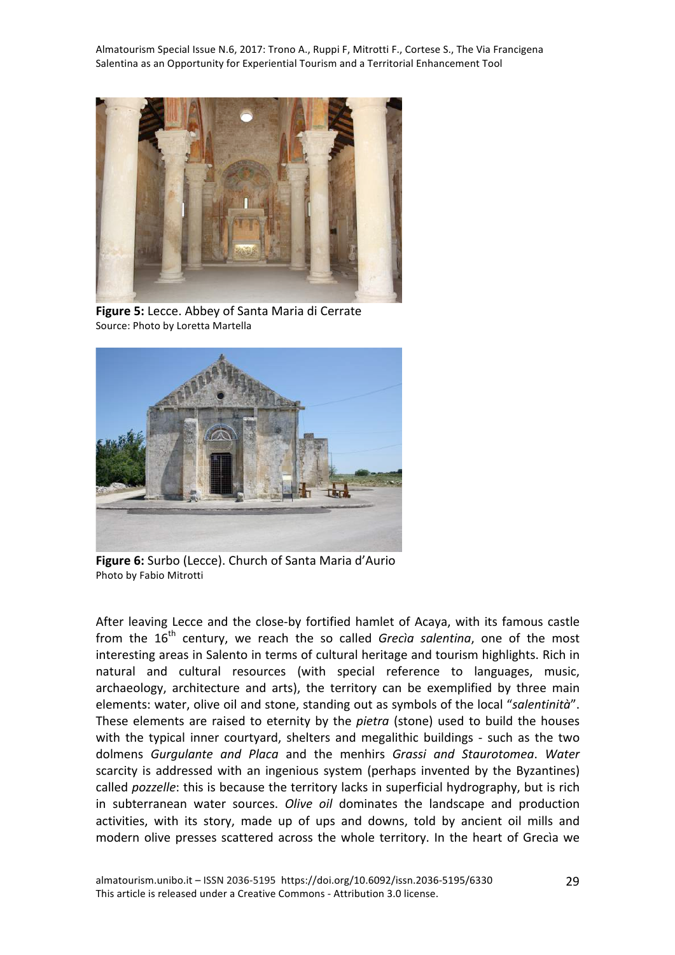

**Figure 5:** Lecce. Abbey of Santa Maria di Cerrate Source: Photo by Loretta Martella



**Figure 6:** Surbo (Lecce). Church of Santa Maria d'Aurio Photo by Fabio Mitrotti

After leaving Lecce and the close-by fortified hamlet of Acaya, with its famous castle from the 16<sup>th</sup> century, we reach the so called *Grecia salentina*, one of the most interesting areas in Salento in terms of cultural heritage and tourism highlights. Rich in natural and cultural resources (with special reference to languages, music, archaeology, architecture and arts), the territory can be exemplified by three main elements: water, olive oil and stone, standing out as symbols of the local "salentinità". These elements are raised to eternity by the *pietra* (stone) used to build the houses with the typical inner courtyard, shelters and megalithic buildings - such as the two dolmens *Gurgulante and Placa* and the menhirs *Grassi and Staurotomea*. *Water* scarcity is addressed with an ingenious system (perhaps invented by the Byzantines) called *pozzelle*: this is because the territory lacks in superficial hydrography, but is rich in subterranean water sources. *Olive oil* dominates the landscape and production activities, with its story, made up of ups and downs, told by ancient oil mills and modern olive presses scattered across the whole territory. In the heart of Grecia we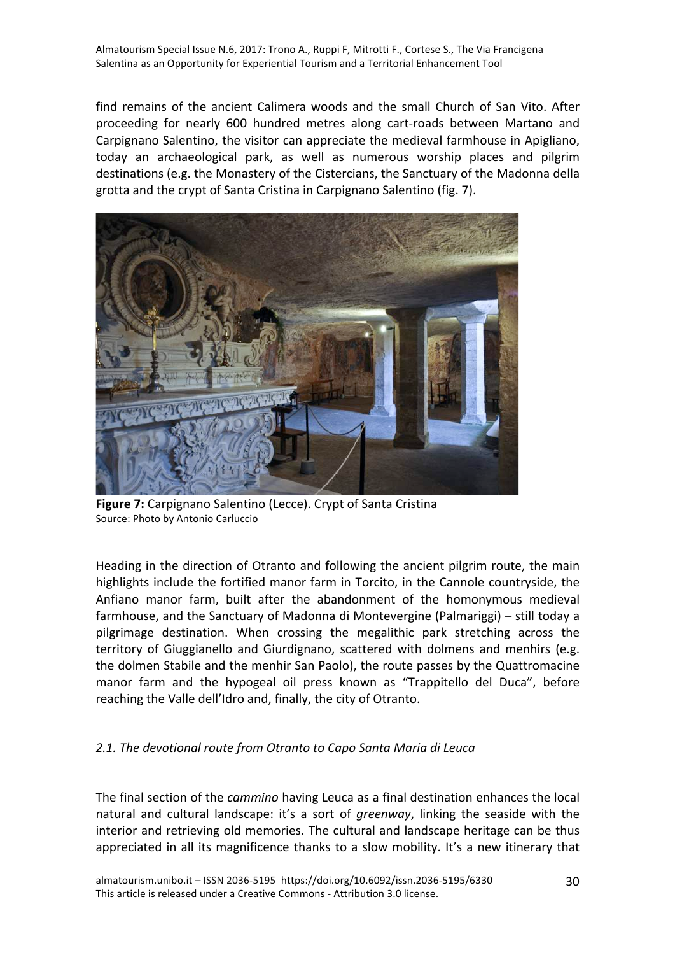find remains of the ancient Calimera woods and the small Church of San Vito. After proceeding for nearly 600 hundred metres along cart-roads between Martano and Carpignano Salentino, the visitor can appreciate the medieval farmhouse in Apigliano, today an archaeological park, as well as numerous worship places and pilgrim destinations (e.g. the Monastery of the Cistercians, the Sanctuary of the Madonna della grotta and the crypt of Santa Cristina in Carpignano Salentino (fig. 7).



**Figure 7:** Carpignano Salentino (Lecce). Crypt of Santa Cristina Source: Photo by Antonio Carluccio

Heading in the direction of Otranto and following the ancient pilgrim route, the main highlights include the fortified manor farm in Torcito, in the Cannole countryside, the Anfiano manor farm, built after the abandonment of the homonymous medieval farmhouse, and the Sanctuary of Madonna di Montevergine (Palmariggi) – still today a pilgrimage destination. When crossing the megalithic park stretching across the territory of Giuggianello and Giurdignano, scattered with dolmens and menhirs (e.g. the dolmen Stabile and the menhir San Paolo), the route passes by the Quattromacine manor farm and the hypogeal oil press known as "Trappitello del Duca", before reaching the Valle dell'Idro and, finally, the city of Otranto.

## 2.1. The devotional route from Otranto to Capo Santa Maria di Leuca

The final section of the *cammino* having Leuca as a final destination enhances the local natural and cultural landscape: it's a sort of *greenway*, linking the seaside with the interior and retrieving old memories. The cultural and landscape heritage can be thus appreciated in all its magnificence thanks to a slow mobility. It's a new itinerary that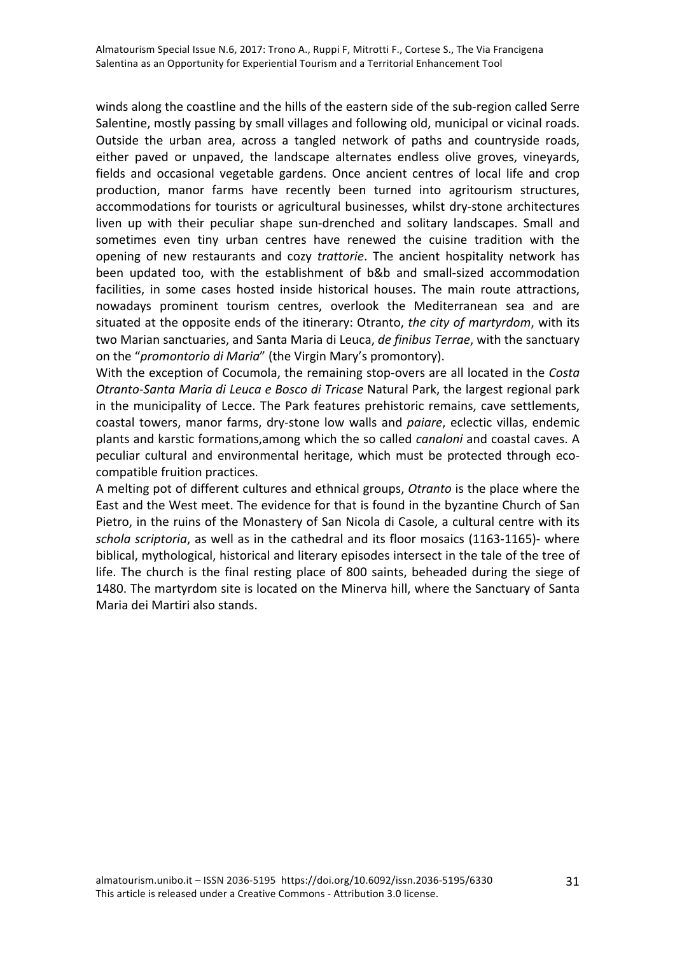winds along the coastline and the hills of the eastern side of the sub-region called Serre Salentine, mostly passing by small villages and following old, municipal or vicinal roads. Outside the urban area, across a tangled network of paths and countryside roads, either paved or unpaved, the landscape alternates endless olive groves, vineyards, fields and occasional vegetable gardens. Once ancient centres of local life and crop production, manor farms have recently been turned into agritourism structures, accommodations for tourists or agricultural businesses, whilst dry-stone architectures liven up with their peculiar shape sun-drenched and solitary landscapes. Small and sometimes even tiny urban centres have renewed the cuisine tradition with the opening of new restaurants and cozy *trattorie*. The ancient hospitality network has been updated too, with the establishment of b&b and small-sized accommodation facilities, in some cases hosted inside historical houses. The main route attractions, nowadays prominent tourism centres, overlook the Mediterranean sea and are situated at the opposite ends of the itinerary: Otranto, *the city of martyrdom*, with its two Marian sanctuaries, and Santa Maria di Leuca, *de finibus Terrae*, with the sanctuary on the "*promontorio di Maria*" (the Virgin Mary's promontory).

With the exception of Cocumola, the remaining stop-overs are all located in the *Costa Otranto-Santa Maria di Leuca e Bosco di Tricase* Natural Park, the largest regional park in the municipality of Lecce. The Park features prehistoric remains, cave settlements, coastal towers, manor farms, dry-stone low walls and *paiare*, eclectic villas, endemic plants and karstic formations,among which the so called *canaloni* and coastal caves. A peculiar cultural and environmental heritage, which must be protected through ecocompatible fruition practices.

A melting pot of different cultures and ethnical groups, *Otranto* is the place where the East and the West meet. The evidence for that is found in the byzantine Church of San Pietro, in the ruins of the Monastery of San Nicola di Casole, a cultural centre with its *schola scriptoria*, as well as in the cathedral and its floor mosaics (1163-1165)- where biblical, mythological, historical and literary episodes intersect in the tale of the tree of life. The church is the final resting place of 800 saints, beheaded during the siege of 1480. The martyrdom site is located on the Minerva hill, where the Sanctuary of Santa Maria dei Martiri also stands.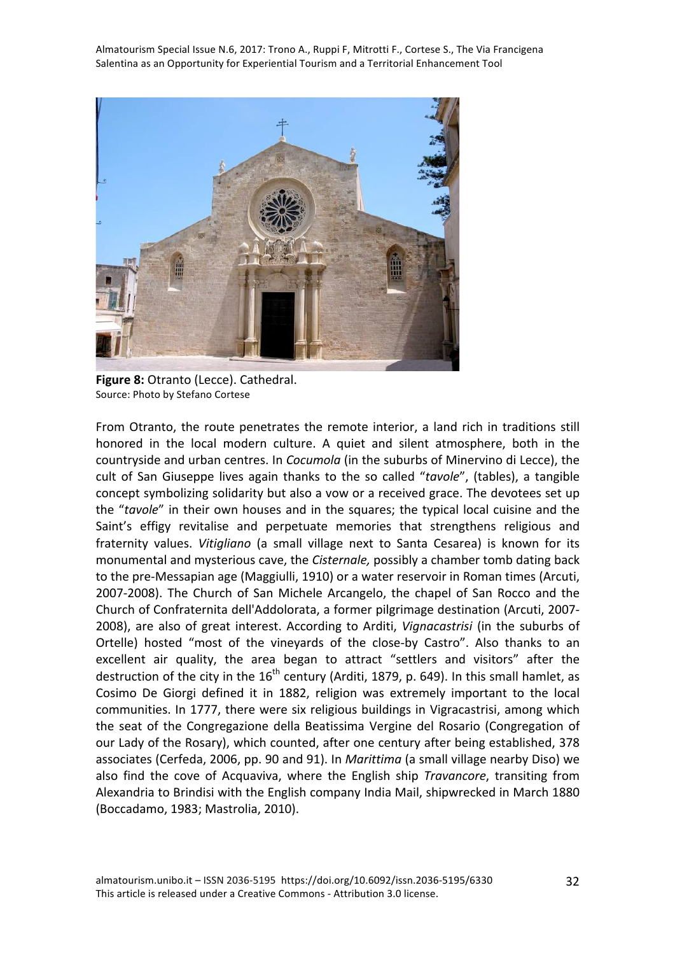

**Figure 8:** Otranto (Lecce). Cathedral. Source: Photo by Stefano Cortese

From Otranto, the route penetrates the remote interior, a land rich in traditions still honored in the local modern culture. A quiet and silent atmosphere, both in the countryside and urban centres. In *Cocumola* (in the suburbs of Minervino di Lecce), the cult of San Giuseppe lives again thanks to the so called "tavole", (tables), a tangible concept symbolizing solidarity but also a vow or a received grace. The devotees set up the "tavole" in their own houses and in the squares; the typical local cuisine and the Saint's effigy revitalise and perpetuate memories that strengthens religious and fraternity values. *Vitigliano* (a small village next to Santa Cesarea) is known for its monumental and mysterious cave, the *Cisternale*, possibly a chamber tomb dating back to the pre-Messapian age (Maggiulli, 1910) or a water reservoir in Roman times (Arcuti, 2007-2008). The Church of San Michele Arcangelo, the chapel of San Rocco and the Church of Confraternita dell'Addolorata, a former pilgrimage destination (Arcuti, 2007-2008), are also of great interest. According to Arditi, *Vignacastrisi* (in the suburbs of Ortelle) hosted "most of the vineyards of the close-by Castro". Also thanks to an excellent air quality, the area began to attract "settlers and visitors" after the destruction of the city in the  $16<sup>th</sup>$  century (Arditi, 1879, p. 649). In this small hamlet, as Cosimo De Giorgi defined it in 1882, religion was extremely important to the local communities. In 1777, there were six religious buildings in Vigracastrisi, among which the seat of the Congregazione della Beatissima Vergine del Rosario (Congregation of our Lady of the Rosary), which counted, after one century after being established, 378 associates (Cerfeda, 2006, pp. 90 and 91). In *Marittima* (a small village nearby Diso) we also find the cove of Acquaviva, where the English ship *Travancore*, transiting from Alexandria to Brindisi with the English company India Mail, shipwrecked in March 1880 (Boccadamo, 1983; Mastrolia, 2010).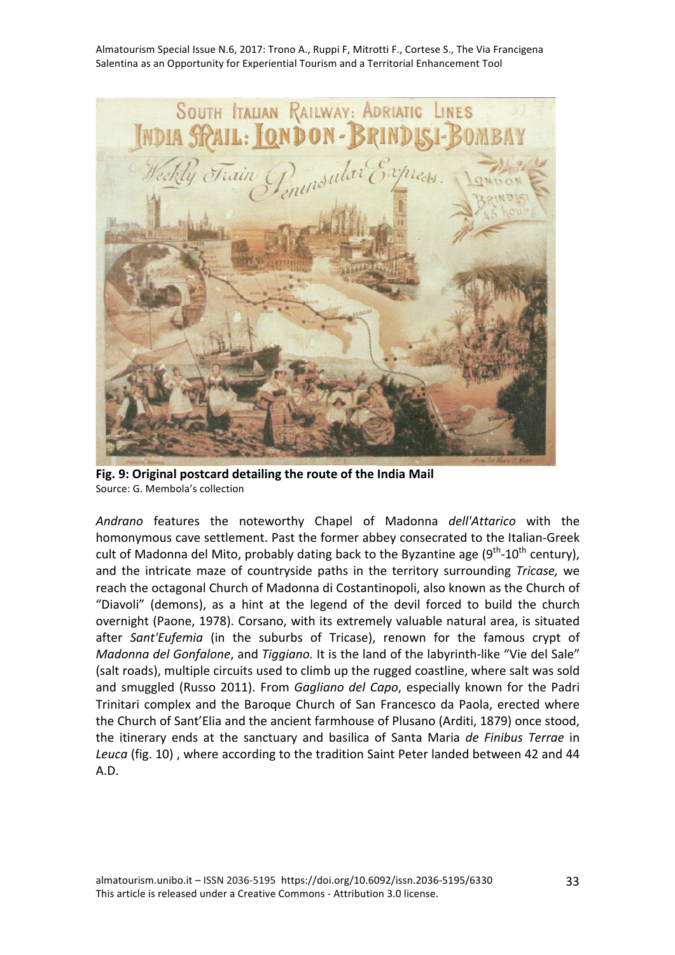

**Fig. 9: Original postcard detailing the route of the India Mail** Source: G. Membola's collection

Andrano features the noteworthy Chapel of Madonna dell'Attarico with the homonymous cave settlement. Past the former abbey consecrated to the Italian-Greek cult of Madonna del Mito, probably dating back to the Byzantine age  $(9^{th}-10^{th}$  century), and the intricate maze of countryside paths in the territory surrounding *Tricase*, we reach the octagonal Church of Madonna di Costantinopoli, also known as the Church of "Diavoli" (demons), as a hint at the legend of the devil forced to build the church overnight (Paone, 1978). Corsano, with its extremely valuable natural area, is situated after Sant'Eufemia (in the suburbs of Tricase), renown for the famous crypt of *Madonna del Gonfalone*, and *Tiggiano*. It is the land of the labyrinth-like "Vie del Sale" (salt roads), multiple circuits used to climb up the rugged coastline, where salt was sold and smuggled (Russo 2011). From *Gagliano del Capo*, especially known for the Padri Trinitari complex and the Baroque Church of San Francesco da Paola, erected where the Church of Sant'Elia and the ancient farmhouse of Plusano (Arditi, 1879) once stood, the itinerary ends at the sanctuary and basilica of Santa Maria de Finibus Terrae in Leuca (fig. 10), where according to the tradition Saint Peter landed between 42 and 44 A.D.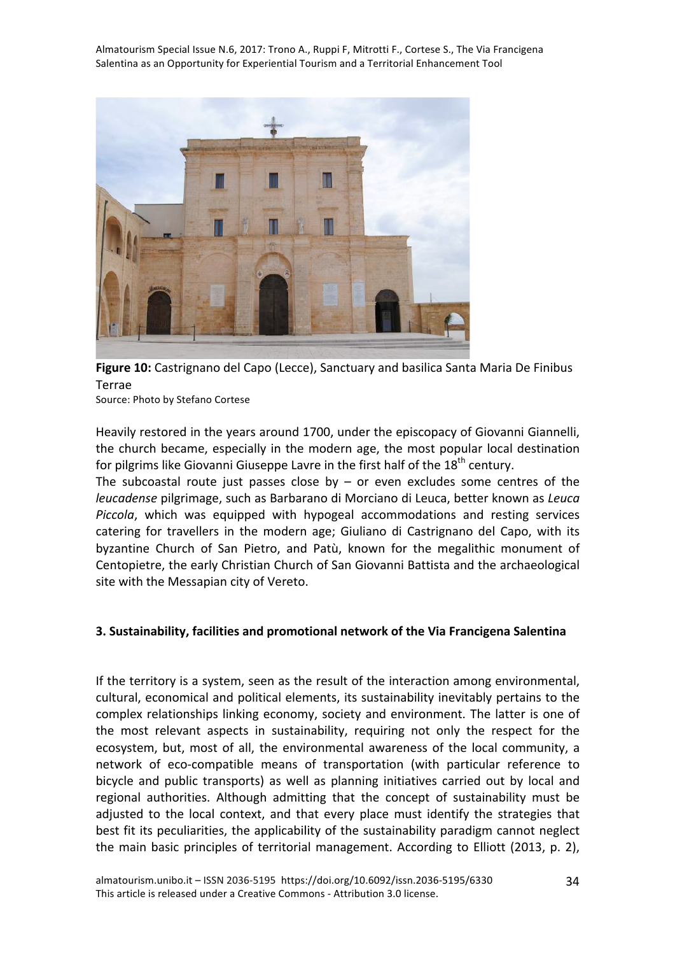

Figure 10: Castrignano del Capo (Lecce), Sanctuary and basilica Santa Maria De Finibus Terrae

Source: Photo by Stefano Cortese

Heavily restored in the years around 1700, under the episcopacy of Giovanni Giannelli, the church became, especially in the modern age, the most popular local destination for pilgrims like Giovanni Giuseppe Lavre in the first half of the 18<sup>th</sup> century.

The subcoastal route just passes close by  $-$  or even excludes some centres of the *leucadense* pilgrimage, such as Barbarano di Morciano di Leuca, better known as Leuca *Piccola*, which was equipped with hypogeal accommodations and resting services catering for travellers in the modern age; Giuliano di Castrignano del Capo, with its byzantine Church of San Pietro, and Patù, known for the megalithic monument of Centopietre, the early Christian Church of San Giovanni Battista and the archaeological site with the Messapian city of Vereto.

## **3. Sustainability, facilities and promotional network of the Via Francigena Salentina**

If the territory is a system, seen as the result of the interaction among environmental, cultural, economical and political elements, its sustainability inevitably pertains to the complex relationships linking economy, society and environment. The latter is one of the most relevant aspects in sustainability, requiring not only the respect for the ecosystem, but, most of all, the environmental awareness of the local community, a network of eco-compatible means of transportation (with particular reference to bicycle and public transports) as well as planning initiatives carried out by local and regional authorities. Although admitting that the concept of sustainability must be adjusted to the local context, and that every place must identify the strategies that best fit its peculiarities, the applicability of the sustainability paradigm cannot neglect the main basic principles of territorial management. According to Elliott (2013, p. 2),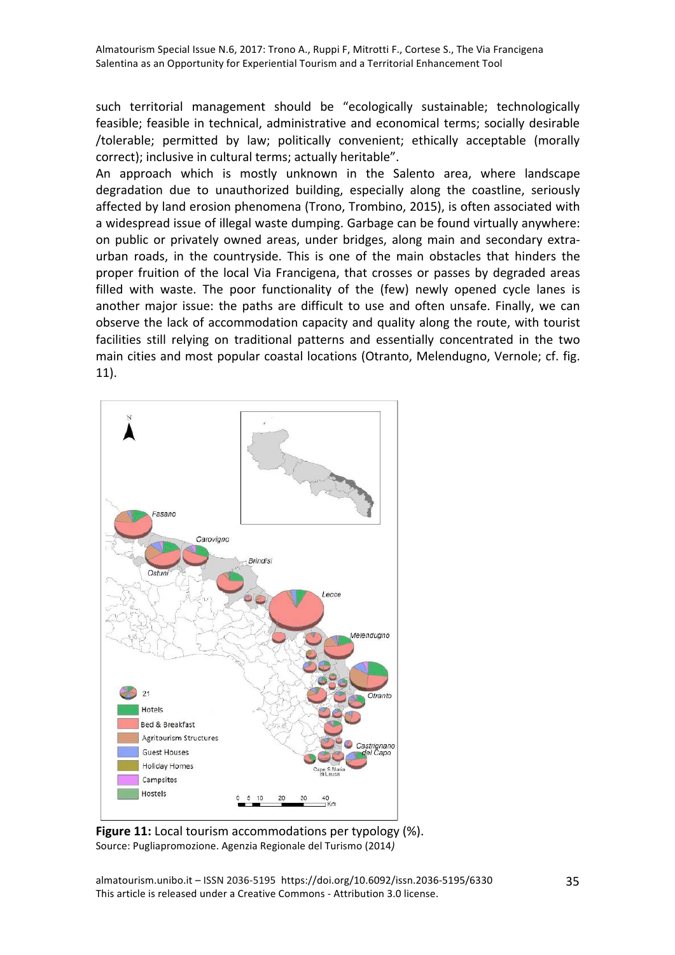such territorial management should be "ecologically sustainable; technologically feasible; feasible in technical, administrative and economical terms; socially desirable /tolerable; permitted by law; politically convenient; ethically acceptable (morally correct); inclusive in cultural terms; actually heritable".

An approach which is mostly unknown in the Salento area, where landscape degradation due to unauthorized building, especially along the coastline, seriously affected by land erosion phenomena (Trono, Trombino, 2015), is often associated with a widespread issue of illegal waste dumping. Garbage can be found virtually anywhere: on public or privately owned areas, under bridges, along main and secondary extraurban roads, in the countryside. This is one of the main obstacles that hinders the proper fruition of the local Via Francigena, that crosses or passes by degraded areas filled with waste. The poor functionality of the (few) newly opened cycle lanes is another major issue: the paths are difficult to use and often unsafe. Finally, we can observe the lack of accommodation capacity and quality along the route, with tourist facilities still relying on traditional patterns and essentially concentrated in the two main cities and most popular coastal locations (Otranto, Melendugno, Vernole; cf. fig. 11). 



**Figure 11:** Local tourism accommodations per typology (%). Source: Pugliapromozione. Agenzia Regionale del Turismo (2014*)*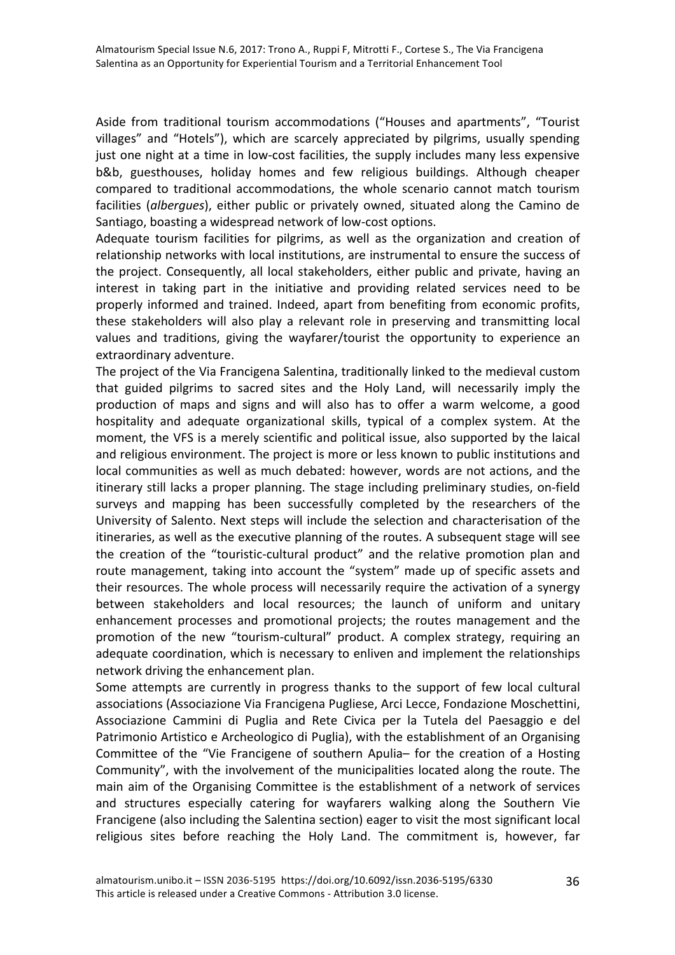Aside from traditional tourism accommodations ("Houses and apartments", "Tourist villages" and "Hotels"), which are scarcely appreciated by pilgrims, usually spending just one night at a time in low-cost facilities, the supply includes many less expensive b&b, guesthouses, holiday homes and few religious buildings. Although cheaper compared to traditional accommodations, the whole scenario cannot match tourism facilities (*albergues*), either public or privately owned, situated along the Camino de Santiago, boasting a widespread network of low-cost options.

Adequate tourism facilities for pilgrims, as well as the organization and creation of relationship networks with local institutions, are instrumental to ensure the success of the project. Consequently, all local stakeholders, either public and private, having an interest in taking part in the initiative and providing related services need to be properly informed and trained. Indeed, apart from benefiting from economic profits, these stakeholders will also play a relevant role in preserving and transmitting local values and traditions, giving the wayfarer/tourist the opportunity to experience an extraordinary adventure.

The project of the Via Francigena Salentina, traditionally linked to the medieval custom that guided pilgrims to sacred sites and the Holy Land, will necessarily imply the production of maps and signs and will also has to offer a warm welcome, a good hospitality and adequate organizational skills, typical of a complex system. At the moment, the VFS is a merely scientific and political issue, also supported by the laical and religious environment. The project is more or less known to public institutions and local communities as well as much debated: however, words are not actions, and the itinerary still lacks a proper planning. The stage including preliminary studies, on-field surveys and mapping has been successfully completed by the researchers of the University of Salento. Next steps will include the selection and characterisation of the itineraries, as well as the executive planning of the routes. A subsequent stage will see the creation of the "touristic-cultural product" and the relative promotion plan and route management, taking into account the "system" made up of specific assets and their resources. The whole process will necessarily require the activation of a synergy between stakeholders and local resources; the launch of uniform and unitary enhancement processes and promotional projects; the routes management and the promotion of the new "tourism-cultural" product. A complex strategy, requiring an adequate coordination, which is necessary to enliven and implement the relationships network driving the enhancement plan.

Some attempts are currently in progress thanks to the support of few local cultural associations (Associazione Via Francigena Pugliese, Arci Lecce, Fondazione Moschettini, Associazione Cammini di Puglia and Rete Civica per la Tutela del Paesaggio e del Patrimonio Artistico e Archeologico di Puglia), with the establishment of an Organising Committee of the "Vie Francigene of southern Apulia– for the creation of a Hosting Community", with the involvement of the municipalities located along the route. The main aim of the Organising Committee is the establishment of a network of services and structures especially catering for wayfarers walking along the Southern Vie Francigene (also including the Salentina section) eager to visit the most significant local religious sites before reaching the Holy Land. The commitment is, however, far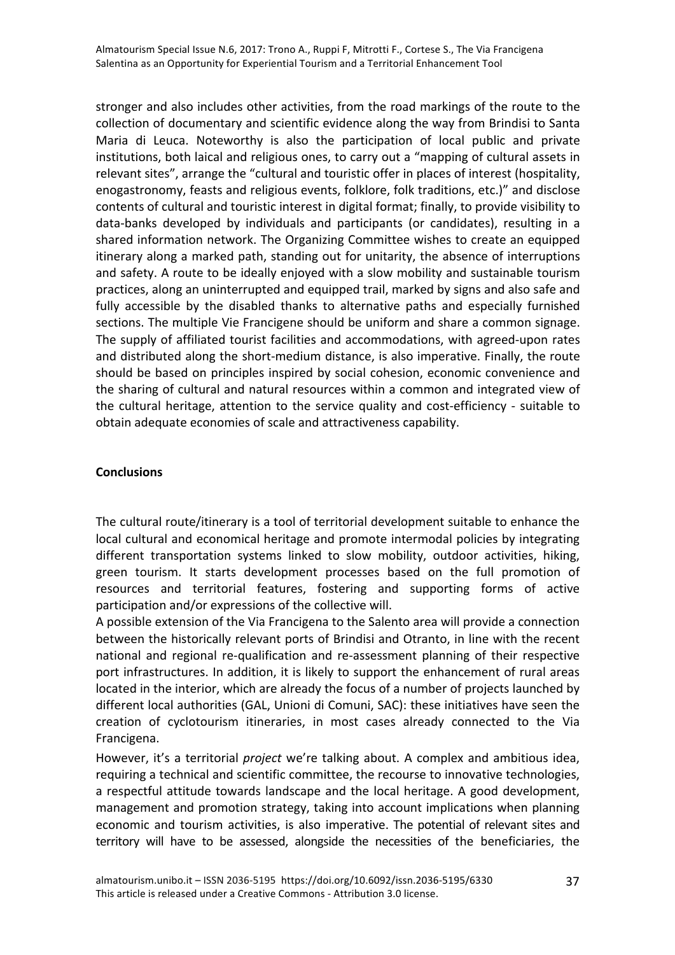stronger and also includes other activities, from the road markings of the route to the collection of documentary and scientific evidence along the way from Brindisi to Santa Maria di Leuca. Noteworthy is also the participation of local public and private institutions, both laical and religious ones, to carry out a "mapping of cultural assets in relevant sites", arrange the "cultural and touristic offer in places of interest (hospitality, enogastronomy, feasts and religious events, folklore, folk traditions, etc.)" and disclose contents of cultural and touristic interest in digital format; finally, to provide visibility to data-banks developed by individuals and participants (or candidates), resulting in a shared information network. The Organizing Committee wishes to create an equipped itinerary along a marked path, standing out for unitarity, the absence of interruptions and safety. A route to be ideally enjoyed with a slow mobility and sustainable tourism practices, along an uninterrupted and equipped trail, marked by signs and also safe and fully accessible by the disabled thanks to alternative paths and especially furnished sections. The multiple Vie Francigene should be uniform and share a common signage. The supply of affiliated tourist facilities and accommodations, with agreed-upon rates and distributed along the short-medium distance, is also imperative. Finally, the route should be based on principles inspired by social cohesion, economic convenience and the sharing of cultural and natural resources within a common and integrated view of the cultural heritage, attention to the service quality and cost-efficiency - suitable to obtain adequate economies of scale and attractiveness capability.

#### **Conclusions**

The cultural route/itinerary is a tool of territorial development suitable to enhance the local cultural and economical heritage and promote intermodal policies by integrating different transportation systems linked to slow mobility, outdoor activities, hiking, green tourism. It starts development processes based on the full promotion of resources and territorial features, fostering and supporting forms of active participation and/or expressions of the collective will.

A possible extension of the Via Francigena to the Salento area will provide a connection between the historically relevant ports of Brindisi and Otranto, in line with the recent national and regional re-qualification and re-assessment planning of their respective port infrastructures. In addition, it is likely to support the enhancement of rural areas located in the interior, which are already the focus of a number of projects launched by different local authorities (GAL, Unioni di Comuni, SAC): these initiatives have seen the creation of cyclotourism itineraries, in most cases already connected to the Via Francigena. 

However, it's a territorial *project* we're talking about. A complex and ambitious idea, requiring a technical and scientific committee, the recourse to innovative technologies, a respectful attitude towards landscape and the local heritage. A good development, management and promotion strategy, taking into account implications when planning economic and tourism activities, is also imperative. The potential of relevant sites and territory will have to be assessed, alongside the necessities of the beneficiaries, the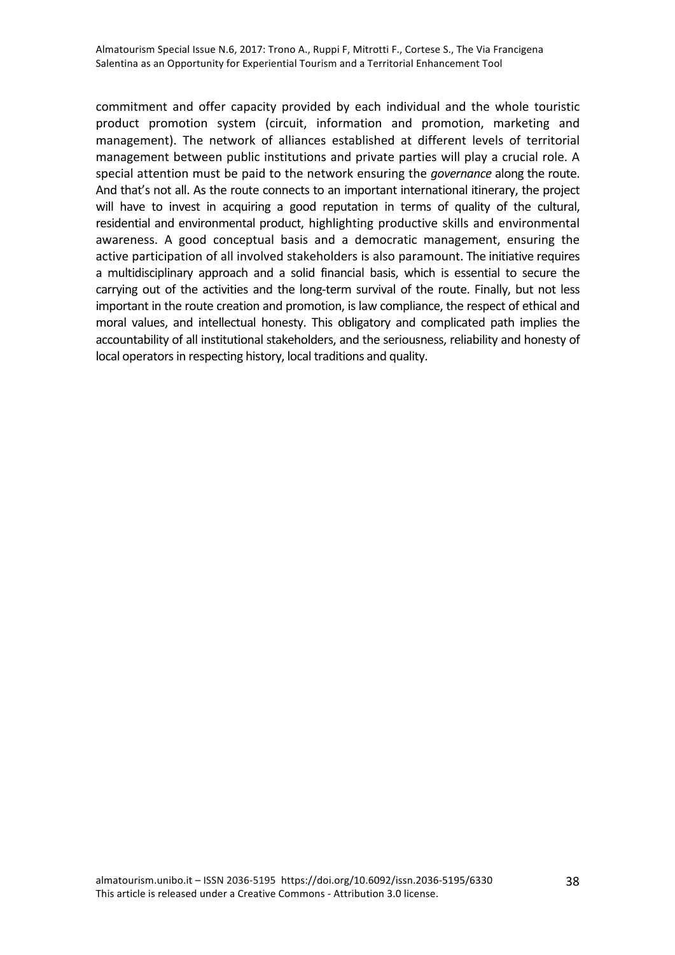commitment and offer capacity provided by each individual and the whole touristic product promotion system (circuit, information and promotion, marketing and management). The network of alliances established at different levels of territorial management between public institutions and private parties will play a crucial role. A special attention must be paid to the network ensuring the *governance* along the route. And that's not all. As the route connects to an important international itinerary, the project will have to invest in acquiring a good reputation in terms of quality of the cultural, residential and environmental product, highlighting productive skills and environmental awareness. A good conceptual basis and a democratic management, ensuring the active participation of all involved stakeholders is also paramount. The initiative requires a multidisciplinary approach and a solid financial basis, which is essential to secure the carrying out of the activities and the long-term survival of the route. Finally, but not less important in the route creation and promotion, is law compliance, the respect of ethical and moral values, and intellectual honesty. This obligatory and complicated path implies the accountability of all institutional stakeholders, and the seriousness, reliability and honesty of local operators in respecting history, local traditions and quality.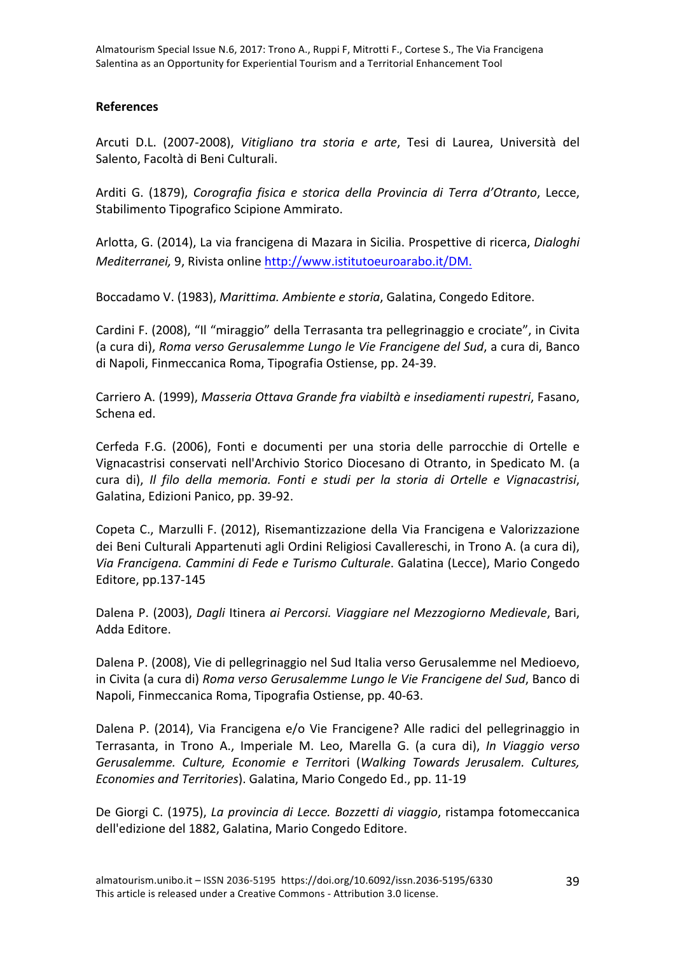#### **References**

Arcuti D.L. (2007-2008), Vitigliano tra storia e arte, Tesi di Laurea, Università del Salento, Facoltà di Beni Culturali.

Arditi G. (1879), *Corografia fisica e storica della Provincia di Terra d'Otranto*, Lecce, Stabilimento Tipografico Scipione Ammirato.

Arlotta, G. (2014), La via francigena di Mazara in Sicilia. Prospettive di ricerca, *Dialoghi Mediterranei*, 9, Rivista online http://www.istitutoeuroarabo.it/DM.

Boccadamo V. (1983), *Marittima. Ambiente e storia*, Galatina, Congedo Editore.

Cardini F. (2008), "Il "miraggio" della Terrasanta tra pellegrinaggio e crociate", in Civita (a cura di), *Roma verso Gerusalemme Lungo le Vie Francigene del Sud*, a cura di, Banco di Napoli, Finmeccanica Roma, Tipografia Ostiense, pp. 24-39.

Carriero A. (1999), *Masseria Ottava Grande fra viabiltà e insediamenti rupestri*, Fasano, Schena ed.

Cerfeda F.G. (2006), Fonti e documenti per una storia delle parrocchie di Ortelle e Vignacastrisi conservati nell'Archivio Storico Diocesano di Otranto, in Spedicato M. (a cura di), *Il filo della memoria. Fonti e studi per la storia di Ortelle e Vignacastrisi*, Galatina, Edizioni Panico, pp. 39-92.

Copeta C., Marzulli F. (2012), Risemantizzazione della Via Francigena e Valorizzazione dei Beni Culturali Appartenuti agli Ordini Religiosi Cavallereschi, in Trono A. (a cura di), Via Francigena. Cammini di Fede e Turismo Culturale. Galatina (Lecce), Mario Congedo Editore, pp.137-145

Dalena P. (2003), *Dagli* Itinera *ai Percorsi. Viaggiare nel Mezzogiorno Medievale*, Bari, Adda Editore.

Dalena P. (2008), Vie di pellegrinaggio nel Sud Italia verso Gerusalemme nel Medioevo, in Civita (a cura di) *Roma verso Gerusalemme Lungo le Vie Francigene del Sud*, Banco di Napoli, Finmeccanica Roma, Tipografia Ostiense, pp. 40-63.

Dalena P. (2014), Via Francigena e/o Vie Francigene? Alle radici del pellegrinaggio in Terrasanta, in Trono A., Imperiale M. Leo, Marella G. (a cura di), *In Viaggio verso Gerusalemme. Culture, Economie e Territo*ri (*Walking Towards Jerusalem. Cultures, Economies and Territories*). Galatina, Mario Congedo Ed., pp. 11-19

De Giorgi C. (1975), *La provincia di Lecce. Bozzetti di viaggio*, ristampa fotomeccanica dell'edizione del 1882, Galatina, Mario Congedo Editore.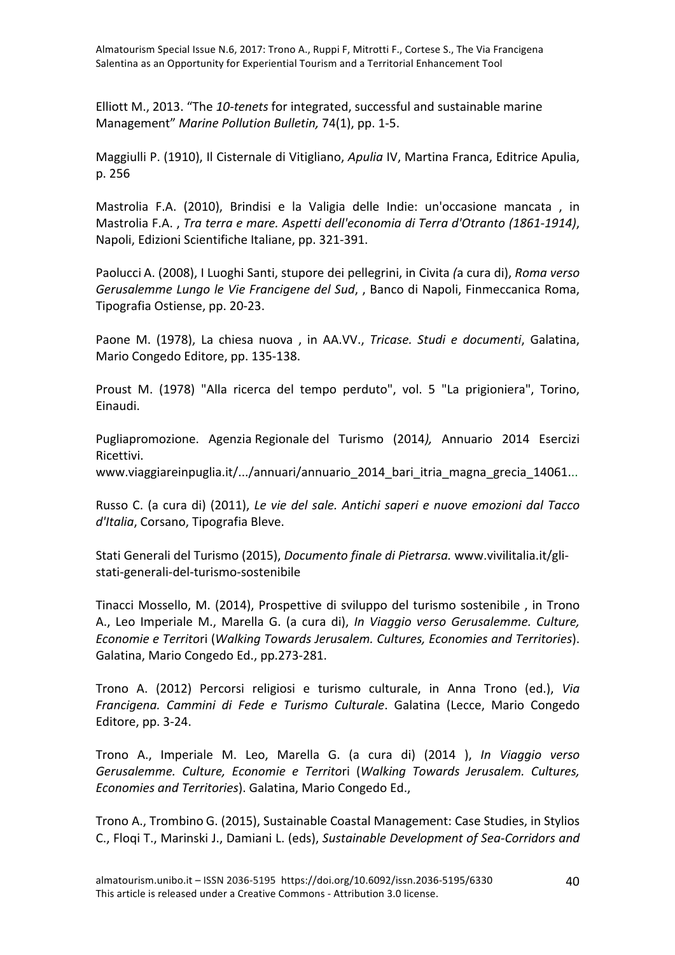Elliott M., 2013. "The 10-tenets for integrated, successful and sustainable marine Management" Marine Pollution Bulletin, 74(1), pp. 1-5.

Maggiulli P. (1910), Il Cisternale di Vitigliano, *Apulia* IV, Martina Franca, Editrice Apulia, p. 256

Mastrolia F.A. (2010), Brindisi e la Valigia delle Indie: un'occasione mancata, in Mastrolia F.A., *Tra terra e mare. Aspetti dell'economia di Terra d'Otranto (1861-1914)*, Napoli, Edizioni Scientifiche Italiane, pp. 321-391.

Paolucci A. (2008), I Luoghi Santi, stupore dei pellegrini, in Civita *(a cura di), Roma verso* Gerusalemme Lungo le Vie Francigene del Sud, , Banco di Napoli, Finmeccanica Roma, Tipografia Ostiense, pp. 20-23.

Paone M. (1978), La chiesa nuova, in AA.VV., Tricase. Studi e documenti, Galatina. Mario Congedo Editore, pp. 135-138.

Proust M. (1978) "Alla ricerca del tempo perduto", vol. 5 "La prigioniera", Torino, Einaudi.

Pugliapromozione. Agenzia Regionale del Turismo (2014*),*  Annuario 2014 Esercizi Ricettivi.

www.viaggiareinpuglia.it/.../annuari/annuario 2014 bari itria magna grecia 14061...

Russo C. (a cura di) (2011), *Le vie del sale. Antichi saperi e nuove emozioni dal Tacco* d'Italia, Corsano, Tipografia Bleve.

Stati Generali del Turismo (2015), *Documento finale di Pietrarsa*. www.vivilitalia.it/glistati-generali-del-turismo-sostenibile

Tinacci Mossello, M. (2014), Prospettive di sviluppo del turismo sostenibile, in Trono A., Leo Imperiale M., Marella G. (a cura di), *In Viaggio verso Gerusalemme. Culture, Economie e Territori (Walking Towards Jerusalem. Cultures, Economies and Territories).* Galatina, Mario Congedo Ed., pp.273-281.

Trono A. (2012) Percorsi religiosi e turismo culturale, in Anna Trono (ed.), *Via Francigena. Cammini di Fede e Turismo Culturale*. Galatina (Lecce, Mario Congedo Editore, pp. 3-24.

Trono A., Imperiale M. Leo, Marella G. (a cura di) (2014 ), *In Viaggio verso Gerusalemme. Culture, Economie e Territo*ri (*Walking Towards Jerusalem. Cultures, Economies and Territories*). Galatina, Mario Congedo Ed.,

Trono A., Trombino G. (2015), Sustainable Coastal Management: Case Studies, in Stylios C., Floqi T., Marinski J., Damiani L. (eds), Sustainable Development of Sea-Corridors and